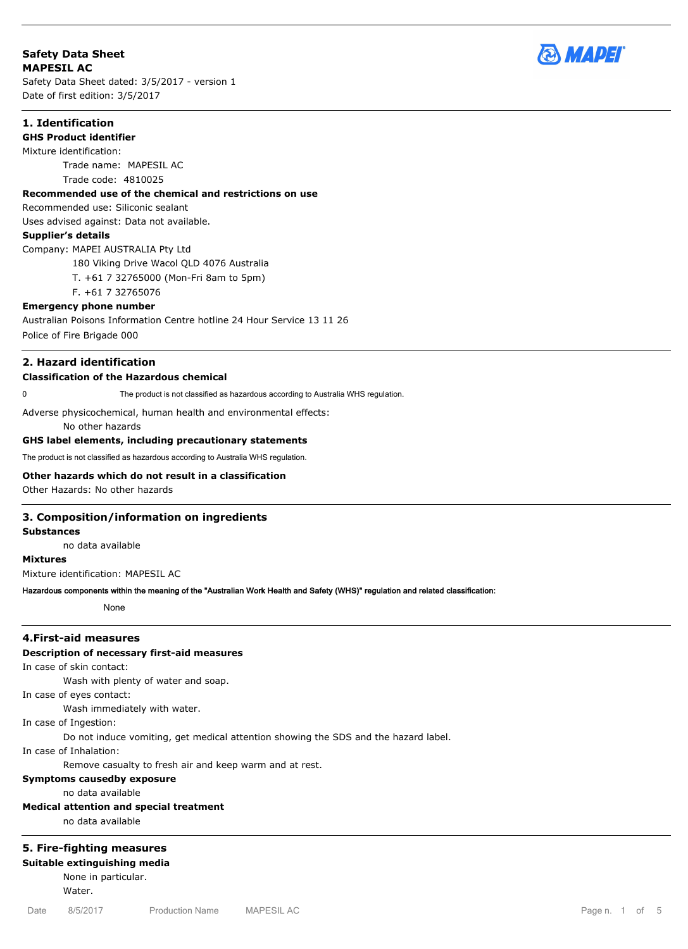# **Safety Data Sheet MAPESIL AC**

Safety Data Sheet dated: 3/5/2017 - version 1 Date of first edition: 3/5/2017



### **1. Identification**

#### **GHS Product identifier**

Mixture identification:

Trade name: MAPESIL AC Trade code: 4810025

# **Recommended use of the chemical and restrictions on use**

#### Recommended use: Siliconic sealant

Uses advised against: Data not available.

#### **Supplier's details**

Company: MAPEI AUSTRALIA Pty Ltd

180 Viking Drive Wacol QLD 4076 Australia

T. +61 7 32765000 (Mon-Fri 8am to 5pm)

## F. +61 7 32765076

### **Emergency phone number**

Australian Poisons Information Centre hotline 24 Hour Service 13 11 26 Police of Fire Brigade 000

# **2. Hazard identification**

#### **Classification of the Hazardous chemical**

0 The product is not classified as hazardous according to Australia WHS regulation.

Adverse physicochemical, human health and environmental effects:

No other hazards

#### **GHS label elements, including precautionary statements**

The product is not classified as hazardous according to Australia WHS regulation.

# **Other hazards which do not result in a classification**

Other Hazards: No other hazards

#### **3. Composition/information on ingredients**

#### **Substances**

no data available

# **Mixtures**

Mixture identification: MAPESIL AC

## **Hazardous components within the meaning of the "Australian Work Health and Safety (WHS)" regulation and related classification:**

None

#### **4.First-aid measures**

## **Description of necessary first-aid measures**

In case of skin contact:

Wash with plenty of water and soap.

In case of eyes contact:

Wash immediately with water.

In case of Ingestion:

Do not induce vomiting, get medical attention showing the SDS and the hazard label.

In case of Inhalation:

Remove casualty to fresh air and keep warm and at rest.

# **Symptoms causedby exposure**

no data available

# **Medical attention and special treatment**

no data available

# **5. Fire-fighting measures**

**Suitable extinguishing media**

None in particular. Water.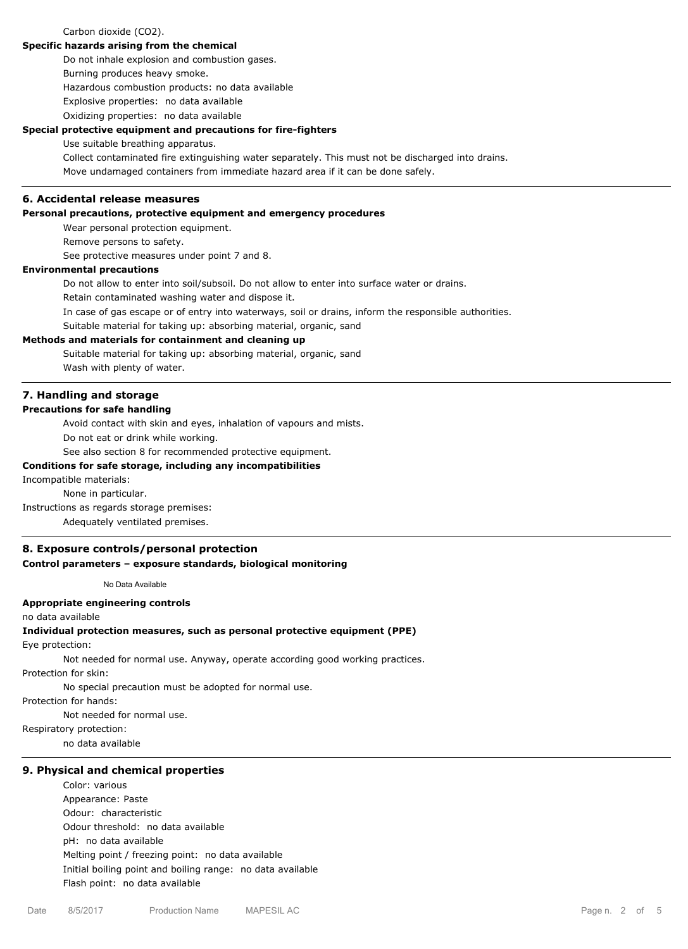### Carbon dioxide (CO2).

## **Specific hazards arising from the chemical**

Do not inhale explosion and combustion gases.

Burning produces heavy smoke.

Hazardous combustion products: no data available

Explosive properties: no data available

Oxidizing properties: no data available

## **Special protective equipment and precautions for fire-fighters**

Use suitable breathing apparatus.

Collect contaminated fire extinguishing water separately. This must not be discharged into drains. Move undamaged containers from immediate hazard area if it can be done safely.

### **6. Accidental release measures**

### **Personal precautions, protective equipment and emergency procedures**

Wear personal protection equipment.

Remove persons to safety.

See protective measures under point 7 and 8.

# **Environmental precautions**

Do not allow to enter into soil/subsoil. Do not allow to enter into surface water or drains.

Retain contaminated washing water and dispose it.

In case of gas escape or of entry into waterways, soil or drains, inform the responsible authorities.

Suitable material for taking up: absorbing material, organic, sand

# **Methods and materials for containment and cleaning up**

Suitable material for taking up: absorbing material, organic, sand Wash with plenty of water.

# **7. Handling and storage**

#### **Precautions for safe handling**

Avoid contact with skin and eyes, inhalation of vapours and mists.

Do not eat or drink while working.

See also section 8 for recommended protective equipment.

#### **Conditions for safe storage, including any incompatibilities**

Incompatible materials:

None in particular.

Instructions as regards storage premises:

Adequately ventilated premises.

### **8. Exposure controls/personal protection**

#### **Control parameters – exposure standards, biological monitoring**

No Data Available

# **Appropriate engineering controls**

no data available

#### **Individual protection measures, such as personal protective equipment (PPE)**

Eye protection:

Not needed for normal use. Anyway, operate according good working practices.

Protection for skin:

No special precaution must be adopted for normal use.

Protection for hands:

Not needed for normal use.

Respiratory protection:

no data available

#### **9. Physical and chemical properties**

#### Color: various

Appearance: Paste Odour: characteristic Odour threshold: no data available pH: no data available Melting point / freezing point: no data available Initial boiling point and boiling range: no data available Flash point: no data available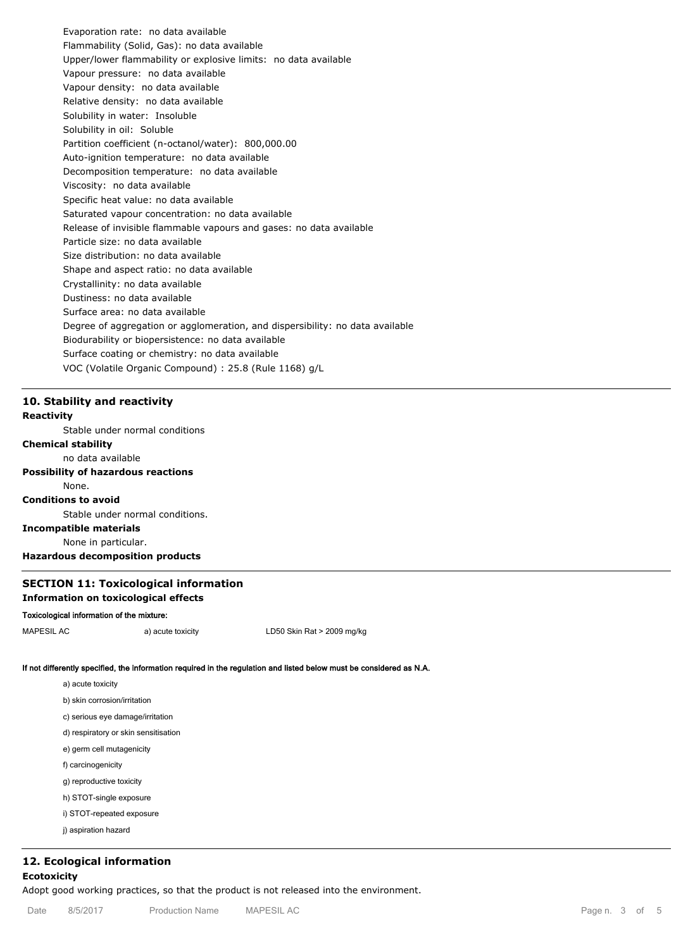Evaporation rate: no data available Flammability (Solid, Gas): no data available Upper/lower flammability or explosive limits: no data available Vapour pressure: no data available Vapour density: no data available Relative density: no data available Solubility in water: Insoluble Solubility in oil: Soluble Partition coefficient (n-octanol/water): 800,000.00 Auto-ignition temperature: no data available Decomposition temperature: no data available Viscosity: no data available Specific heat value: no data available Saturated vapour concentration: no data available Release of invisible flammable vapours and gases: no data available Particle size: no data available Size distribution: no data available Shape and aspect ratio: no data available Crystallinity: no data available Dustiness: no data available Surface area: no data available Degree of aggregation or agglomeration, and dispersibility: no data available Biodurability or biopersistence: no data available Surface coating or chemistry: no data available VOC (Volatile Organic Compound) : 25.8 (Rule 1168) g/L

# **10. Stability and reactivity**

# **Reactivity**

Stable under normal conditions **Chemical stability** no data available **Possibility of hazardous reactions** None. **Conditions to avoid** Stable under normal conditions. **Incompatible materials** None in particular.

# **Hazardous decomposition products**

# **SECTION 11: Toxicological information Information on toxicological effects**

# **Toxicological information of the mixture:**

MAPESIL AC a) acute toxicity LD50 Skin Rat > 2009 mg/kg

### **If not differently specified, the information required in the regulation and listed below must be considered as N.A.**

| a) acute toxicity                    |
|--------------------------------------|
| b) skin corrosion/irritation         |
| c) serious eye damage/irritation     |
| d) respiratory or skin sensitisation |
| e) germ cell mutagenicity            |
| f) carcinogenicity                   |
| g) reproductive toxicity             |
| h) STOT-single exposure              |
| $\mathcal{L}$                        |

i) STOT-repeated exposure

j) aspiration hazard

# **12. Ecological information**

# **Ecotoxicity**

Adopt good working practices, so that the product is not released into the environment.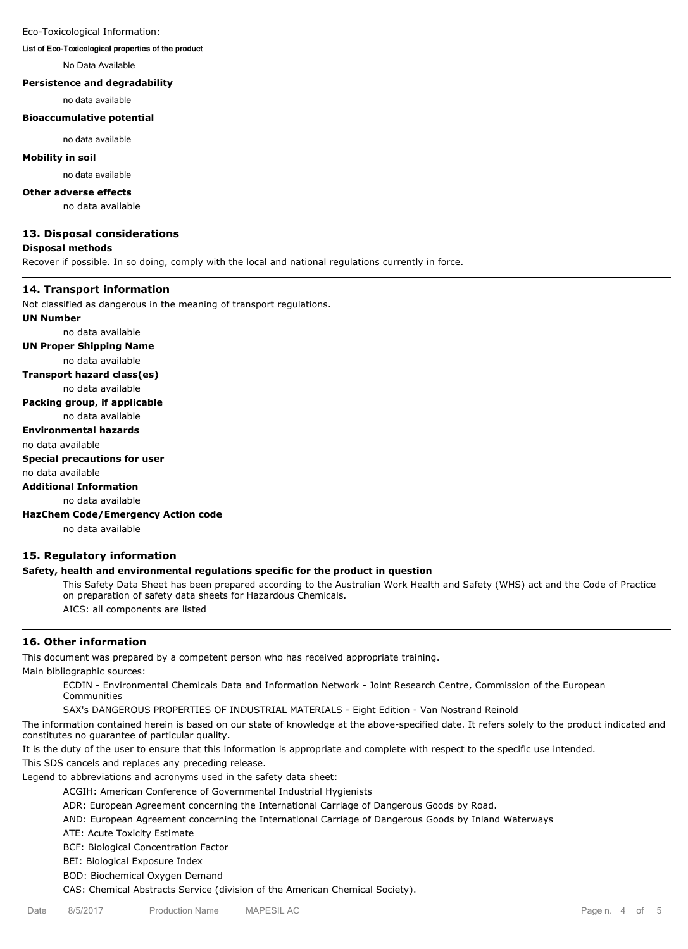#### Eco-Toxicological Information:

# **List of Eco-Toxicological properties of the product**

No Data Available

# **Persistence and degradability**

no data available

#### **Bioaccumulative potential**

no data available

# **Mobility in soil**

no data available

#### **Other adverse effects**

no data available

#### **13. Disposal considerations**

#### **Disposal methods**

Recover if possible. In so doing, comply with the local and national regulations currently in force.

#### **14. Transport information**

Not classified as dangerous in the meaning of transport regulations.

#### **UN Number**

no data available **UN Proper Shipping Name** no data available **Transport hazard class(es)** no data available **Packing group, if applicable** no data available **Environmental hazards** no data available **Special precautions for user** no data available **Additional Information** no data available

**HazChem Code/Emergency Action code**

no data available

# **15. Regulatory information**

### **Safety, health and environmental regulations specific for the product in question**

This Safety Data Sheet has been prepared according to the Australian Work Health and Safety (WHS) act and the Code of Practice on preparation of safety data sheets for Hazardous Chemicals. AICS: all components are listed

#### **16. Other information**

This document was prepared by a competent person who has received appropriate training. Main bibliographic sources:

ECDIN - Environmental Chemicals Data and Information Network - Joint Research Centre, Commission of the European Communities

SAX's DANGEROUS PROPERTIES OF INDUSTRIAL MATERIALS - Eight Edition - Van Nostrand Reinold

The information contained herein is based on our state of knowledge at the above-specified date. It refers solely to the product indicated and constitutes no guarantee of particular quality.

It is the duty of the user to ensure that this information is appropriate and complete with respect to the specific use intended.

This SDS cancels and replaces any preceding release.

Legend to abbreviations and acronyms used in the safety data sheet:

ACGIH: American Conference of Governmental Industrial Hygienists

ADR: European Agreement concerning the International Carriage of Dangerous Goods by Road.

AND: European Agreement concerning the International Carriage of Dangerous Goods by Inland Waterways

ATE: Acute Toxicity Estimate

BCF: Biological Concentration Factor

BEI: Biological Exposure Index

BOD: Biochemical Oxygen Demand

CAS: Chemical Abstracts Service (division of the American Chemical Society).